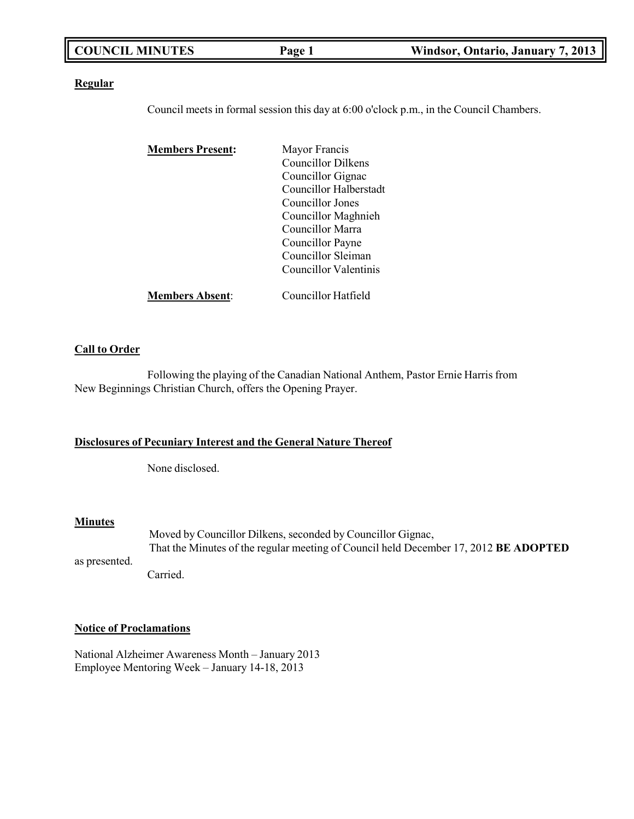| <b>COUNCIL MINUTES</b> | Page 1 | Windsor, Ontario, January 7, 2013 |
|------------------------|--------|-----------------------------------|
|                        |        |                                   |

#### **Regular**

Council meets in formal session this day at 6:00 o'clock p.m., in the Council Chambers.

| <b>Members Present:</b> | Mayor Francis              |
|-------------------------|----------------------------|
|                         | Councillor Dilkens         |
|                         | Councillor Gignac          |
|                         | Councillor Halberstadt     |
|                         | Councillor Jones           |
|                         | Councillor Maghnieh        |
|                         | Councillor Marra           |
|                         | Councillor Payne           |
|                         | Councillor Sleiman         |
|                         | Councillor Valentinis      |
| <b>Members Absent:</b>  | <b>Councillor Hatfield</b> |

#### **Call to Order**

Following the playing of the Canadian National Anthem, Pastor Ernie Harris from New Beginnings Christian Church, offers the Opening Prayer.

#### **Disclosures of Pecuniary Interest and the General Nature Thereof**

None disclosed.

#### **Minutes**

as presented. Moved by Councillor Dilkens, seconded by Councillor Gignac, That the Minutes of the regular meeting of Council held December 17, 2012 **BE ADOPTED**

Carried.

#### **Notice of Proclamations**

National Alzheimer Awareness Month – January 2013 Employee Mentoring Week – January 14-18, 2013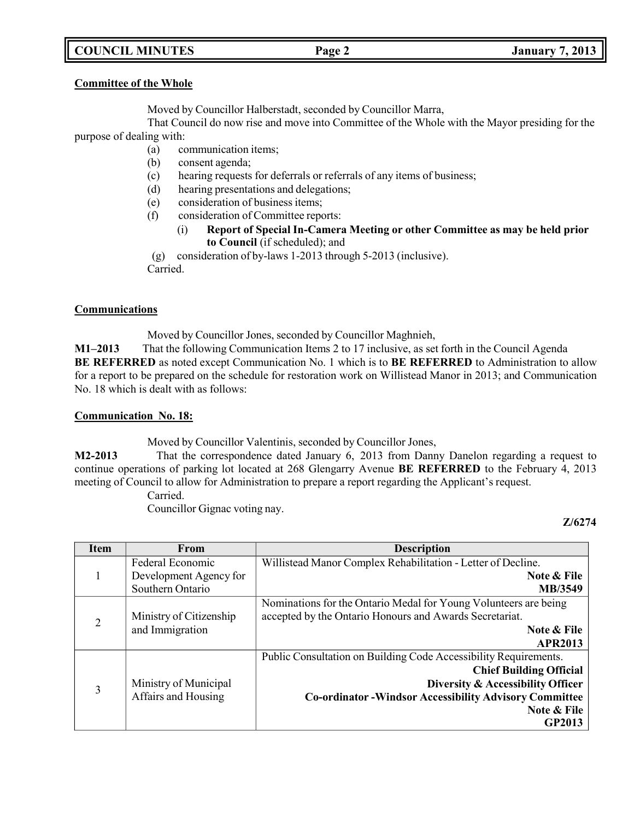# **COUNCIL MINUTES Page 2 January 7, 2013**

# **Committee of the Whole**

Moved by Councillor Halberstadt, seconded by Councillor Marra,

That Council do now rise and move into Committee of the Whole with the Mayor presiding for the purpose of dealing with:

- (a) communication items;
- (b) consent agenda;
- (c) hearing requests for deferrals or referrals of any items of business;
- (d) hearing presentations and delegations;
- (e) consideration of business items;
- (f) consideration of Committee reports:
	- (i) **Report of Special In-Camera Meeting or other Committee as may be held prior to Council** (if scheduled); and

(g) consideration of by-laws 1-2013 through 5-2013 (inclusive). Carried.

### **Communications**

Moved by Councillor Jones, seconded by Councillor Maghnieh,

**M1–2013** That the following Communication Items 2 to 17 inclusive, as set forth in the Council Agenda **BE REFERRED** as noted except Communication No. 1 which is to **BE REFERRED** to Administration to allow for a report to be prepared on the schedule for restoration work on Willistead Manor in 2013; and Communication No. 18 which is dealt with as follows:

#### **Communication No. 18:**

Moved by Councillor Valentinis, seconded by Councillor Jones,

**M2-2013** That the correspondence dated January 6, 2013 from Danny Danelon regarding a request to continue operations of parking lot located at 268 Glengarry Avenue **BE REFERRED** to the February 4, 2013 meeting of Council to allow for Administration to prepare a report regarding the Applicant's request.

Carried.

Councillor Gignac voting nay.

**Z/6274**

| <b>Item</b>    | From                    | <b>Description</b>                                               |
|----------------|-------------------------|------------------------------------------------------------------|
|                | Federal Economic        | Willistead Manor Complex Rehabilitation - Letter of Decline.     |
|                | Development Agency for  | Note & File                                                      |
|                | Southern Ontario        | MB/3549                                                          |
|                |                         | Nominations for the Ontario Medal for Young Volunteers are being |
| $\overline{2}$ | Ministry of Citizenship | accepted by the Ontario Honours and Awards Secretariat.          |
|                | and Immigration         | Note & File                                                      |
|                |                         | <b>APR2013</b>                                                   |
|                |                         | Public Consultation on Building Code Accessibility Requirements. |
|                |                         | <b>Chief Building Official</b>                                   |
| 3              | Ministry of Municipal   | Diversity & Accessibility Officer                                |
|                | Affairs and Housing     | <b>Co-ordinator -Windsor Accessibility Advisory Committee</b>    |
|                |                         | Note & File                                                      |
|                |                         | <b>GP2013</b>                                                    |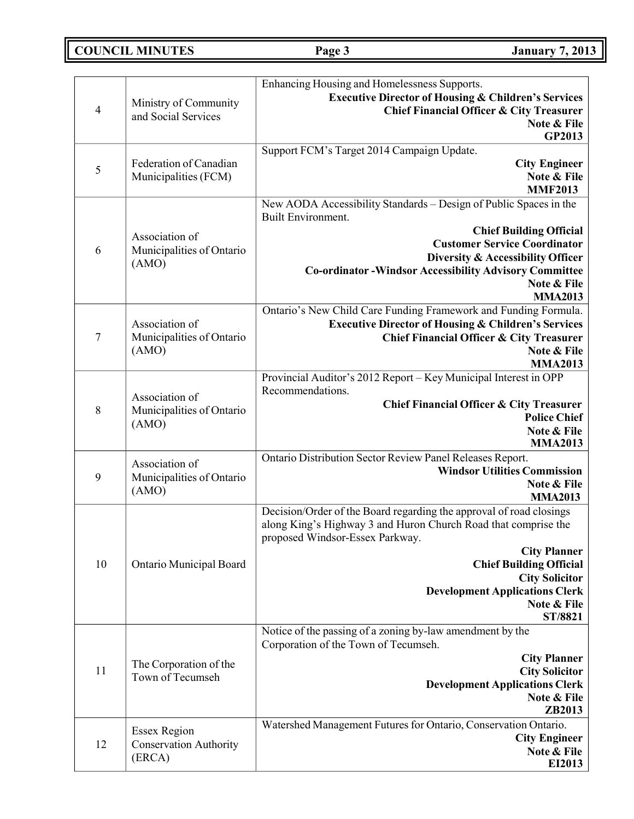# **COUNCIL MINUTES Page 3 January 7, 2013**

| $\overline{4}$   | Ministry of Community<br>and Social Services                   | Enhancing Housing and Homelessness Supports.<br><b>Executive Director of Housing &amp; Children's Services</b><br><b>Chief Financial Officer &amp; City Treasurer</b><br>Note & File<br>GP2013                                                                                                                                |
|------------------|----------------------------------------------------------------|-------------------------------------------------------------------------------------------------------------------------------------------------------------------------------------------------------------------------------------------------------------------------------------------------------------------------------|
| $\mathfrak{S}$   | Federation of Canadian<br>Municipalities (FCM)                 | Support FCM's Target 2014 Campaign Update.<br><b>City Engineer</b><br>Note & File<br><b>MMF2013</b>                                                                                                                                                                                                                           |
| 6                | Association of<br>Municipalities of Ontario<br>(AMO)           | New AODA Accessibility Standards - Design of Public Spaces in the<br>Built Environment.<br><b>Chief Building Official</b><br><b>Customer Service Coordinator</b><br>Diversity & Accessibility Officer<br><b>Co-ordinator -Windsor Accessibility Advisory Committee</b><br>Note & File<br><b>MMA2013</b>                       |
| $\boldsymbol{7}$ | Association of<br>Municipalities of Ontario<br>(AMO)           | Ontario's New Child Care Funding Framework and Funding Formula.<br><b>Executive Director of Housing &amp; Children's Services</b><br><b>Chief Financial Officer &amp; City Treasurer</b><br>Note & File<br><b>MMA2013</b>                                                                                                     |
| 8                | Association of<br>Municipalities of Ontario<br>(AMO)           | Provincial Auditor's 2012 Report - Key Municipal Interest in OPP<br>Recommendations.<br>Chief Financial Officer & City Treasurer<br><b>Police Chief</b><br>Note & File<br><b>MMA2013</b>                                                                                                                                      |
| 9                | Association of<br>Municipalities of Ontario<br>(AMO)           | Ontario Distribution Sector Review Panel Releases Report.<br><b>Windsor Utilities Commission</b><br>Note & File<br><b>MMA2013</b>                                                                                                                                                                                             |
| 10               | Ontario Municipal Board                                        | Decision/Order of the Board regarding the approval of road closings<br>along King's Highway 3 and Huron Church Road that comprise the<br>proposed Windsor-Essex Parkway.<br><b>City Planner</b><br><b>Chief Building Official</b><br><b>City Solicitor</b><br><b>Development Applications Clerk</b><br>Note & File<br>ST/8821 |
| 11               | The Corporation of the<br>Town of Tecumseh                     | Notice of the passing of a zoning by-law amendment by the<br>Corporation of the Town of Tecumseh.<br><b>City Planner</b><br><b>City Solicitor</b><br><b>Development Applications Clerk</b><br>Note & File<br>ZB2013                                                                                                           |
| 12               | <b>Essex Region</b><br><b>Conservation Authority</b><br>(ERCA) | Watershed Management Futures for Ontario, Conservation Ontario.<br><b>City Engineer</b><br>Note & File<br>EI2013                                                                                                                                                                                                              |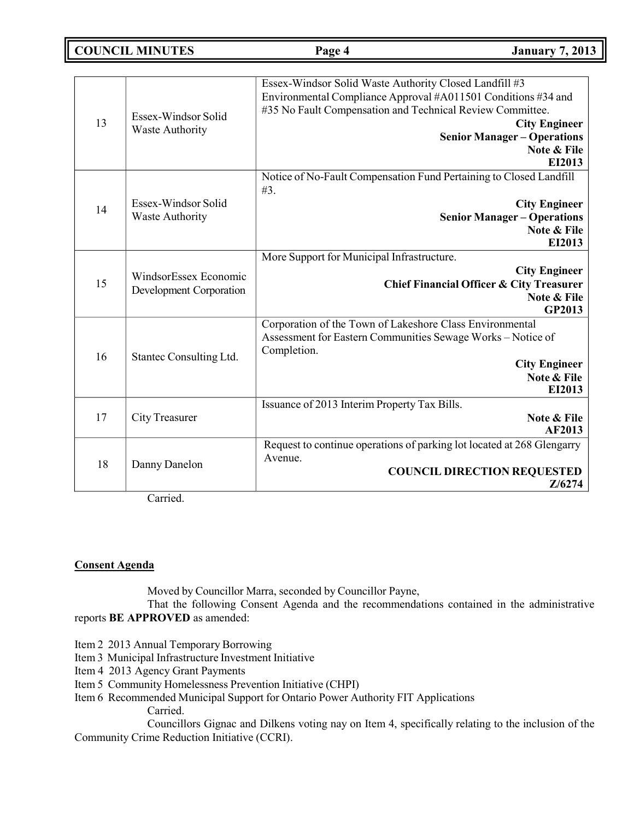**COUNCIL MINUTES Page 4 January 7, 2013**

| 13 | Essex-Windsor Solid<br><b>Waste Authority</b>    | Essex-Windsor Solid Waste Authority Closed Landfill #3<br>Environmental Compliance Approval #A011501 Conditions #34 and<br>#35 No Fault Compensation and Technical Review Committee.<br><b>City Engineer</b><br><b>Senior Manager - Operations</b><br>Note & File<br>EI2013 |
|----|--------------------------------------------------|-----------------------------------------------------------------------------------------------------------------------------------------------------------------------------------------------------------------------------------------------------------------------------|
| 14 | Essex-Windsor Solid<br><b>Waste Authority</b>    | Notice of No-Fault Compensation Fund Pertaining to Closed Landfill<br>#3.<br><b>City Engineer</b><br><b>Senior Manager - Operations</b><br>Note & File<br>EI2013                                                                                                            |
| 15 | WindsorEssex Economic<br>Development Corporation | More Support for Municipal Infrastructure.<br><b>City Engineer</b><br><b>Chief Financial Officer &amp; City Treasurer</b><br>Note & File<br><b>GP2013</b>                                                                                                                   |
| 16 | Stantec Consulting Ltd.                          | Corporation of the Town of Lakeshore Class Environmental<br>Assessment for Eastern Communities Sewage Works - Notice of<br>Completion.<br><b>City Engineer</b><br>Note & File<br>EI2013                                                                                     |
| 17 | City Treasurer                                   | Issuance of 2013 Interim Property Tax Bills.<br>Note & File<br>AF2013                                                                                                                                                                                                       |
| 18 | Danny Danelon                                    | Request to continue operations of parking lot located at 268 Glengarry<br>Avenue.<br><b>COUNCIL DIRECTION REQUESTED</b><br>Z/6274                                                                                                                                           |

Carried.

#### **Consent Agenda**

Moved by Councillor Marra, seconded by Councillor Payne,

That the following Consent Agenda and the recommendations contained in the administrative reports **BE APPROVED** as amended:

Item 2 2013 Annual Temporary Borrowing

- Item 3 Municipal Infrastructure Investment Initiative
- Item 4 2013 Agency Grant Payments
- Item 5 Community Homelessness Prevention Initiative (CHPI)
- Item 6 Recommended Municipal Support for Ontario Power Authority FIT Applications Carried.

Councillors Gignac and Dilkens voting nay on Item 4, specifically relating to the inclusion of the Community Crime Reduction Initiative (CCRI).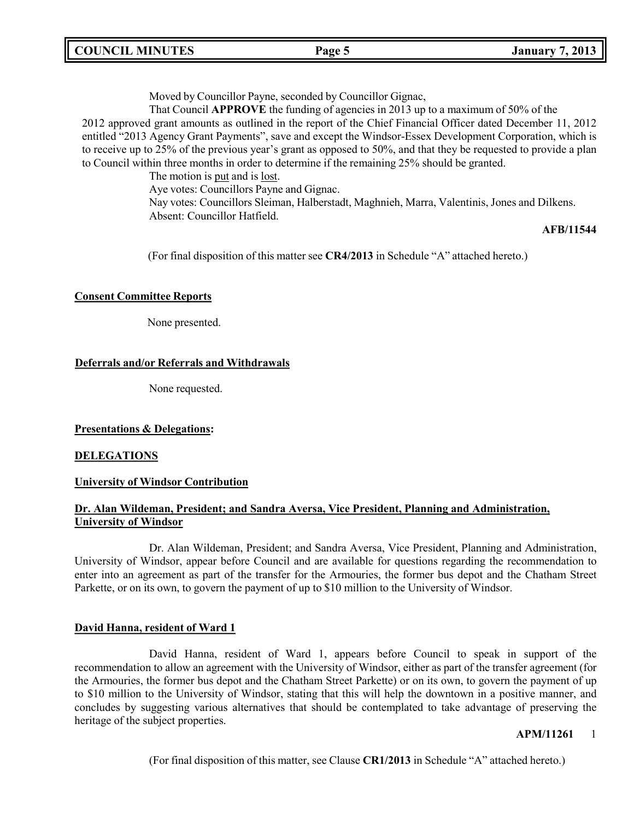| <b>COUNCIL MINUTES</b> |  |
|------------------------|--|
|------------------------|--|

Moved by Councillor Payne, seconded by Councillor Gignac,

That Council **APPROVE** the funding of agencies in 2013 up to a maximum of 50% of the

2012 approved grant amounts as outlined in the report of the Chief Financial Officer dated December 11, 2012 entitled "2013 Agency Grant Payments", save and except the Windsor-Essex Development Corporation, which is to receive up to 25% of the previous year's grant as opposed to 50%, and that they be requested to provide a plan to Council within three months in order to determine if the remaining 25% should be granted.

The motion is put and is <u>lost</u>.

Aye votes: Councillors Payne and Gignac.

Nay votes: Councillors Sleiman, Halberstadt, Maghnieh, Marra, Valentinis, Jones and Dilkens. Absent: Councillor Hatfield.

#### **AFB/11544**

(For final disposition of this matter see **CR4/2013** in Schedule "A" attached hereto.)

#### **Consent Committee Reports**

None presented.

### **Deferrals and/or Referrals and Withdrawals**

None requested.

#### **Presentations & Delegations:**

#### **DELEGATIONS**

#### **University of Windsor Contribution**

# **Dr. Alan Wildeman, President; and Sandra Aversa, Vice President, Planning and Administration, University of Windsor**

Dr. Alan Wildeman, President; and Sandra Aversa, Vice President, Planning and Administration, University of Windsor, appear before Council and are available for questions regarding the recommendation to enter into an agreement as part of the transfer for the Armouries, the former bus depot and the Chatham Street Parkette, or on its own, to govern the payment of up to \$10 million to the University of Windsor.

#### **David Hanna, resident of Ward 1**

David Hanna, resident of Ward 1, appears before Council to speak in support of the recommendation to allow an agreement with the University of Windsor, either as part of the transfer agreement (for the Armouries, the former bus depot and the Chatham Street Parkette) or on its own, to govern the payment of up to \$10 million to the University of Windsor, stating that this will help the downtown in a positive manner, and concludes by suggesting various alternatives that should be contemplated to take advantage of preserving the heritage of the subject properties.

#### **APM/11261** 1

(For final disposition of this matter, see Clause **CR1/2013** in Schedule "A" attached hereto.)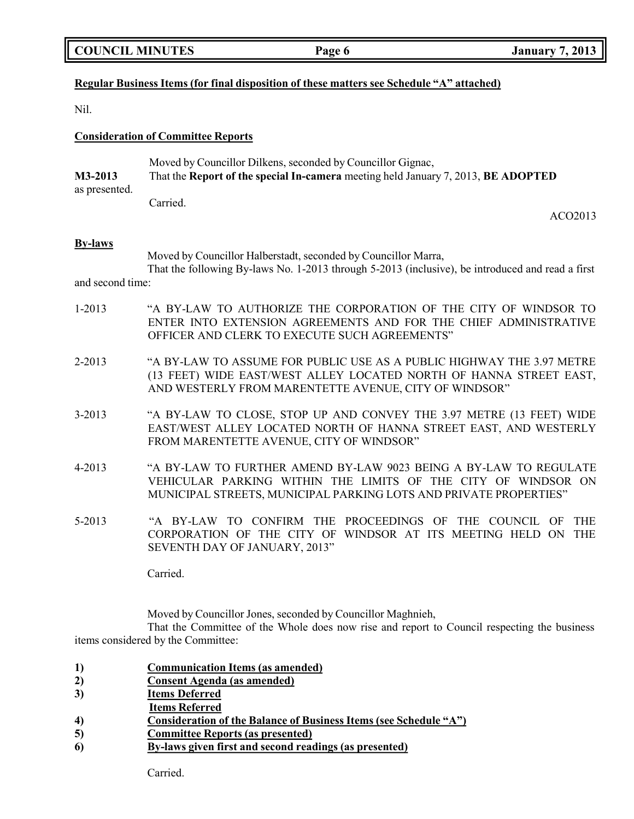### **Regular Business Items (for final disposition of these matters see Schedule "A" attached)**

Nil.

#### **Consideration of Committee Reports**

|               | Moved by Councillor Dilkens, seconded by Councillor Gignac,                       |
|---------------|-----------------------------------------------------------------------------------|
| M3-2013       | That the Report of the special In-camera meeting held January 7, 2013, BE ADOPTED |
| as presented. |                                                                                   |
|               | Carried.                                                                          |

#### **By-laws**

Moved by Councillor Halberstadt, seconded by Councillor Marra,

That the following By-laws No. 1-2013 through 5-2013 (inclusive), be introduced and read a first and second time:

- 1-2013 "A BY-LAW TO AUTHORIZE THE CORPORATION OF THE CITY OF WINDSOR TO ENTER INTO EXTENSION AGREEMENTS AND FOR THE CHIEF ADMINISTRATIVE OFFICER AND CLERK TO EXECUTE SUCH AGREEMENTS"
- 2-2013 "A BY-LAW TO ASSUME FOR PUBLIC USE AS A PUBLIC HIGHWAY THE 3.97 METRE (13 FEET) WIDE EAST/WEST ALLEY LOCATED NORTH OF HANNA STREET EAST, AND WESTERLY FROM MARENTETTE AVENUE, CITY OF WINDSOR"
- 3-2013 "A BY-LAW TO CLOSE, STOP UP AND CONVEY THE 3.97 METRE (13 FEET) WIDE EAST/WEST ALLEY LOCATED NORTH OF HANNA STREET EAST, AND WESTERLY FROM MARENTETTE AVENUE, CITY OF WINDSOR"
- 4-2013 "A BY-LAW TO FURTHER AMEND BY-LAW 9023 BEING A BY-LAW TO REGULATE VEHICULAR PARKING WITHIN THE LIMITS OF THE CITY OF WINDSOR ON MUNICIPAL STREETS, MUNICIPAL PARKING LOTS AND PRIVATE PROPERTIES"
- 5-2013 "A BY-LAW TO CONFIRM THE PROCEEDINGS OF THE COUNCIL OF THE CORPORATION OF THE CITY OF WINDSOR AT ITS MEETING HELD ON THE SEVENTH DAY OF JANUARY, 2013"

Carried.

Moved by Councillor Jones, seconded by Councillor Maghnieh,

That the Committee of the Whole does now rise and report to Council respecting the business items considered by the Committee:

|  |  | <b>Communication Items (as amended)</b> |  |
|--|--|-----------------------------------------|--|
|--|--|-----------------------------------------|--|

- **2) Consent Agenda (as amended)**
- **3) Items Deferred**
- **Items Referred**
- **4) Consideration of the Balance of Business Items (see Schedule "A")**
- **5) Committee Reports (as presented)**
- **6) By-laws given first and second readings (as presented)**

ACO2013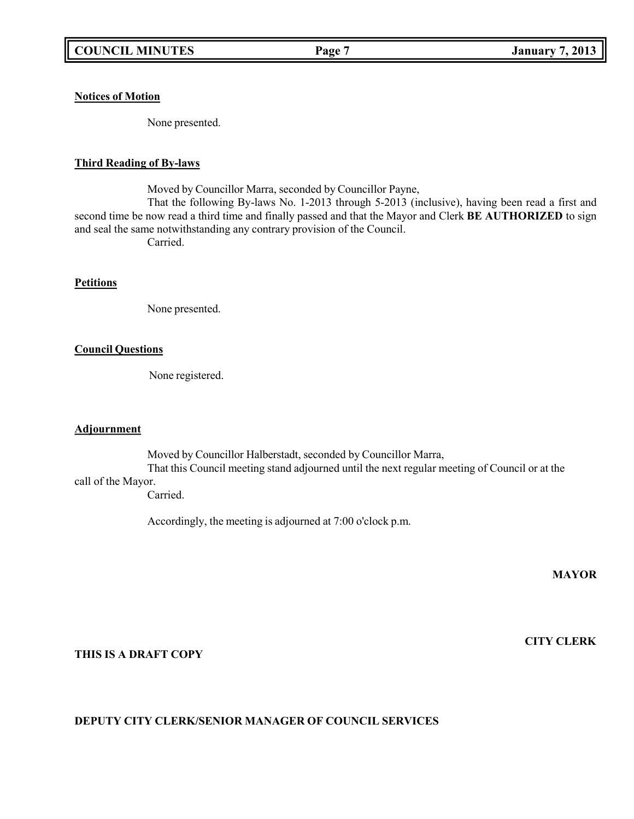## **Notices of Motion**

None presented.

#### **Third Reading of By-laws**

Moved by Councillor Marra, seconded by Councillor Payne, That the following By-laws No. 1-2013 through 5-2013 (inclusive), having been read a first and second time be now read a third time and finally passed and that the Mayor and Clerk **BE AUTHORIZED** to sign and seal the same notwithstanding any contrary provision of the Council. Carried.

#### **Petitions**

None presented.

#### **Council Questions**

None registered.

#### **Adjournment**

Moved by Councillor Halberstadt, seconded by Councillor Marra,

That this Council meeting stand adjourned until the next regular meeting of Council or at the call of the Mayor.

Carried.

Accordingly, the meeting is adjourned at 7:00 o'clock p.m.

**MAYOR**

**CITY CLERK**

#### **THIS IS A DRAFT COPY**

# **DEPUTY CITY CLERK/SENIOR MANAGER OF COUNCIL SERVICES**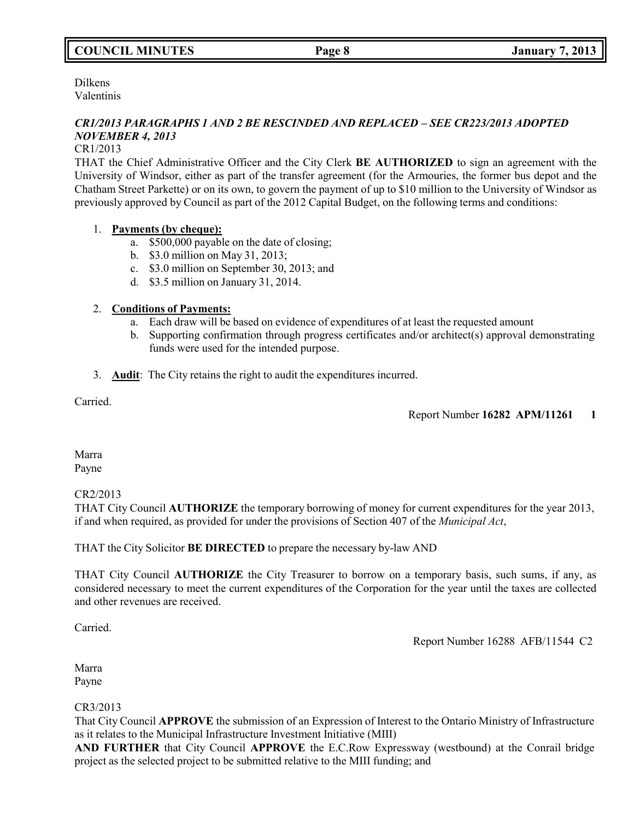# **COUNCIL MINUTES Page 8 January 7, 2013**

Dilkens Valentinis

# *CR1/2013 PARAGRAPHS 1 AND 2 BE RESCINDED AND REPLACED – SEE CR223/2013 ADOPTED NOVEMBER 4, 2013*

#### CR1/2013

THAT the Chief Administrative Officer and the City Clerk **BE AUTHORIZED** to sign an agreement with the University of Windsor, either as part of the transfer agreement (for the Armouries, the former bus depot and the Chatham Street Parkette) or on its own, to govern the payment of up to \$10 million to the University of Windsor as previously approved by Council as part of the 2012 Capital Budget, on the following terms and conditions:

### 1. **Payments (by cheque):**

- a. \$500,000 payable on the date of closing;
- b. \$3.0 million on May 31, 2013;
- c. \$3.0 million on September 30, 2013; and
- d. \$3.5 million on January 31, 2014.

# 2. **Conditions of Payments:**

- a. Each draw will be based on evidence of expenditures of at least the requested amount
- b. Supporting confirmation through progress certificates and/or architect(s) approval demonstrating funds were used for the intended purpose.
- 3. **Audit**: The City retains the right to audit the expenditures incurred.

Carried.

Report Number **16282 APM/11261 1**

Marra Payne

#### CR2/2013

THAT City Council **AUTHORIZE** the temporary borrowing of money for current expenditures for the year 2013, if and when required, as provided for under the provisions of Section 407 of the *Municipal Act*,

THAT the City Solicitor **BE DIRECTED** to prepare the necessary by-law AND

THAT City Council **AUTHORIZE** the City Treasurer to borrow on a temporary basis, such sums, if any, as considered necessary to meet the current expenditures of the Corporation for the year until the taxes are collected and other revenues are received.

Carried.

Report Number 16288 AFB/11544 C2

Marra Payne

#### CR3/2013

That City Council **APPROVE** the submission of an Expression of Interest to the Ontario Ministry of Infrastructure as it relates to the Municipal Infrastructure Investment Initiative (MIII)

**AND FURTHER** that City Council **APPROVE** the E.C.Row Expressway (westbound) at the Conrail bridge project as the selected project to be submitted relative to the MIII funding; and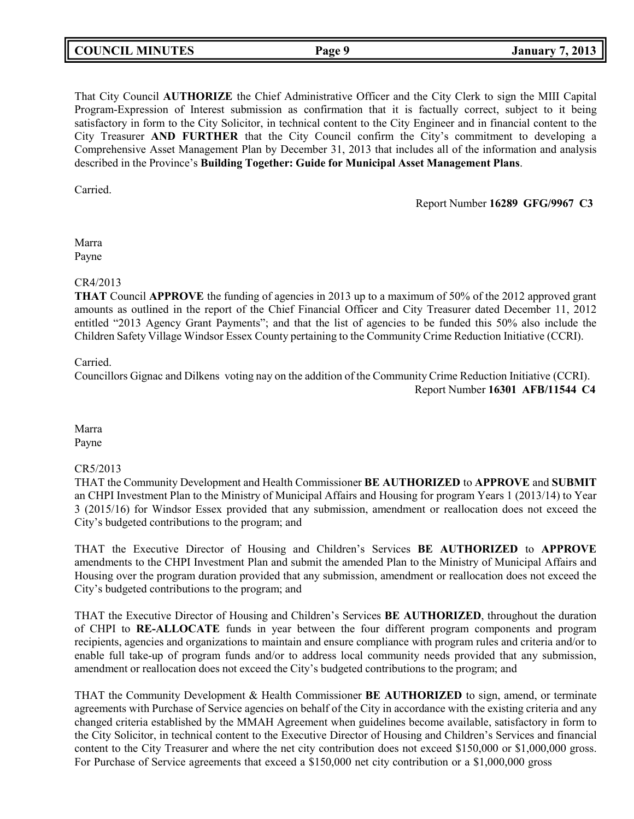|--|

That City Council **AUTHORIZE** the Chief Administrative Officer and the City Clerk to sign the MIII Capital Program-Expression of Interest submission as confirmation that it is factually correct, subject to it being satisfactory in form to the City Solicitor, in technical content to the City Engineer and in financial content to the City Treasurer **AND FURTHER** that the City Council confirm the City's commitment to developing a Comprehensive Asset Management Plan by December 31, 2013 that includes all of the information and analysis described in the Province's **Building Together: Guide for Municipal Asset Management Plans**.

Carried.

Report Number **16289 GFG/9967 C3**

Marra Payne

#### CR4/2013

**THAT** Council **APPROVE** the funding of agencies in 2013 up to a maximum of 50% of the 2012 approved grant amounts as outlined in the report of the Chief Financial Officer and City Treasurer dated December 11, 2012 entitled "2013 Agency Grant Payments"; and that the list of agencies to be funded this 50% also include the Children Safety Village Windsor Essex County pertaining to the Community Crime Reduction Initiative (CCRI).

Carried.

Councillors Gignac and Dilkens voting nay on the addition of the Community Crime Reduction Initiative (CCRI). Report Number **16301 AFB/11544 C4**

Marra Payne

#### CR5/2013

THAT the Community Development and Health Commissioner **BE AUTHORIZED** to **APPROVE** and **SUBMIT** an CHPI Investment Plan to the Ministry of Municipal Affairs and Housing for program Years 1 (2013/14) to Year 3 (2015/16) for Windsor Essex provided that any submission, amendment or reallocation does not exceed the City's budgeted contributions to the program; and

THAT the Executive Director of Housing and Children's Services **BE AUTHORIZED** to **APPROVE** amendments to the CHPI Investment Plan and submit the amended Plan to the Ministry of Municipal Affairs and Housing over the program duration provided that any submission, amendment or reallocation does not exceed the City's budgeted contributions to the program; and

THAT the Executive Director of Housing and Children's Services **BE AUTHORIZED**, throughout the duration of CHPI to **RE-ALLOCATE** funds in year between the four different program components and program recipients, agencies and organizations to maintain and ensure compliance with program rules and criteria and/or to enable full take-up of program funds and/or to address local community needs provided that any submission, amendment or reallocation does not exceed the City's budgeted contributions to the program; and

THAT the Community Development & Health Commissioner **BE AUTHORIZED** to sign, amend, or terminate agreements with Purchase of Service agencies on behalf of the City in accordance with the existing criteria and any changed criteria established by the MMAH Agreement when guidelines become available, satisfactory in form to the City Solicitor, in technical content to the Executive Director of Housing and Children's Services and financial content to the City Treasurer and where the net city contribution does not exceed \$150,000 or \$1,000,000 gross. For Purchase of Service agreements that exceed a \$150,000 net city contribution or a \$1,000,000 gross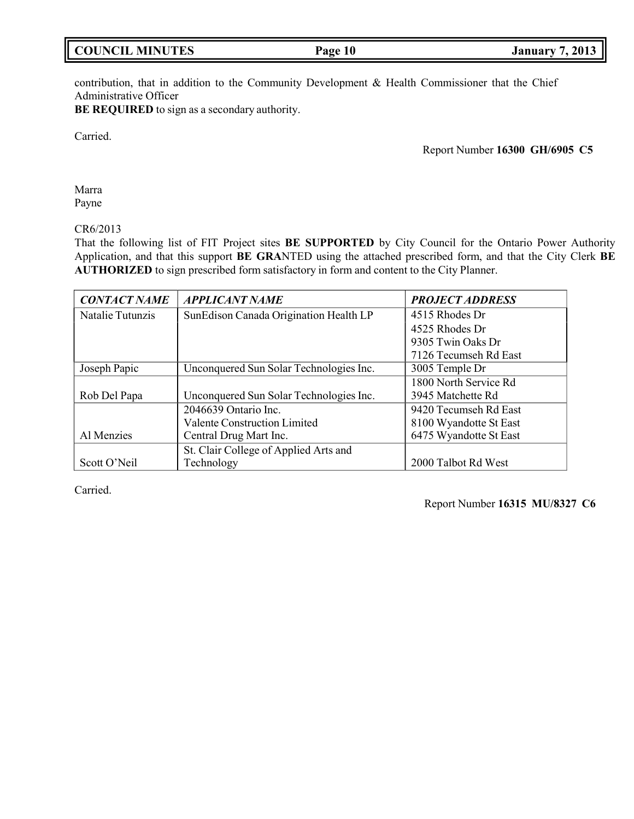contribution, that in addition to the Community Development & Health Commissioner that the Chief Administrative Officer

**BE REQUIRED** to sign as a secondary authority.

Carried.

Report Number **16300 GH/6905 C5**

Marra Payne

CR6/2013

That the following list of FIT Project sites **BE SUPPORTED** by City Council for the Ontario Power Authority Application, and that this support **BE GRA**NTED using the attached prescribed form, and that the City Clerk **BE AUTHORIZED** to sign prescribed form satisfactory in form and content to the City Planner.

| <b>CONTACT NAME</b> | <i><b>APPLICANT NAME</b></i>            | <b>PROJECT ADDRESS</b> |
|---------------------|-----------------------------------------|------------------------|
| Natalie Tutunzis    | SunEdison Canada Origination Health LP  | 4515 Rhodes Dr         |
|                     |                                         | 4525 Rhodes Dr         |
|                     |                                         | 9305 Twin Oaks Dr      |
|                     |                                         | 7126 Tecumseh Rd East  |
| Joseph Papic        | Unconquered Sun Solar Technologies Inc. | 3005 Temple Dr         |
|                     |                                         | 1800 North Service Rd  |
| Rob Del Papa        | Unconquered Sun Solar Technologies Inc. | 3945 Matchette Rd      |
|                     | 2046639 Ontario Inc.                    | 9420 Tecumseh Rd East  |
|                     | <b>Valente Construction Limited</b>     | 8100 Wyandotte St East |
| Al Menzies          | Central Drug Mart Inc.                  | 6475 Wyandotte St East |
|                     | St. Clair College of Applied Arts and   |                        |
| Scott O'Neil        | Technology                              | 2000 Talbot Rd West    |

Carried.

Report Number **16315 MU/8327 C6**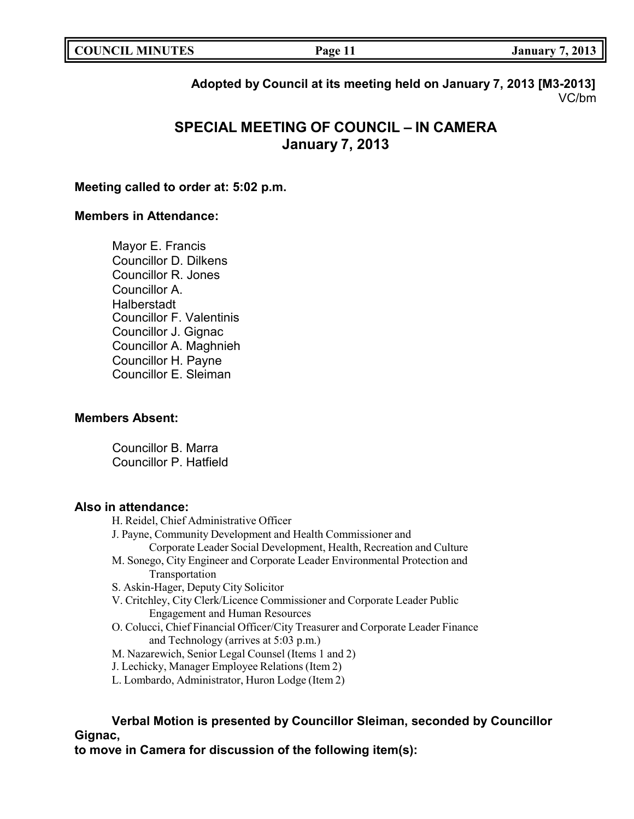| <b>COUNCIL MINUTES</b><br>7, 2013<br>Page 11<br>January |
|---------------------------------------------------------|
|---------------------------------------------------------|

**Adopted by Council at its meeting held on January 7, 2013 [M3-2013]** VC/bm

# **SPECIAL MEETING OF COUNCIL – IN CAMERA January 7, 2013**

# **Meeting called to order at: 5:02 p.m.**

## **Members in Attendance:**

Mayor E. Francis Councillor D. Dilkens Councillor R. Jones Councillor A. Halberstadt Councillor F. Valentinis Councillor J. Gignac Councillor A. Maghnieh Councillor H. Payne Councillor E. Sleiman

#### **Members Absent:**

Councillor B. Marra Councillor P. Hatfield

# **Also in attendance:**

- H. Reidel, Chief Administrative Officer
- J. Payne, Community Development and Health Commissioner and
	- Corporate Leader Social Development, Health, Recreation and Culture
- M. Sonego, City Engineer and Corporate Leader Environmental Protection and Transportation
- S. Askin-Hager, Deputy City Solicitor
- V. Critchley, City Clerk/Licence Commissioner and Corporate Leader Public Engagement and Human Resources
- O. Colucci, Chief Financial Officer/City Treasurer and Corporate Leader Finance and Technology (arrives at 5:03 p.m.)
- M. Nazarewich, Senior Legal Counsel (Items 1 and 2)
- J. Lechicky, Manager Employee Relations (Item 2)
- L. Lombardo, Administrator, Huron Lodge (Item 2)

**Verbal Motion is presented by Councillor Sleiman, seconded by Councillor Gignac,**

**to move in Camera for discussion of the following item(s):**